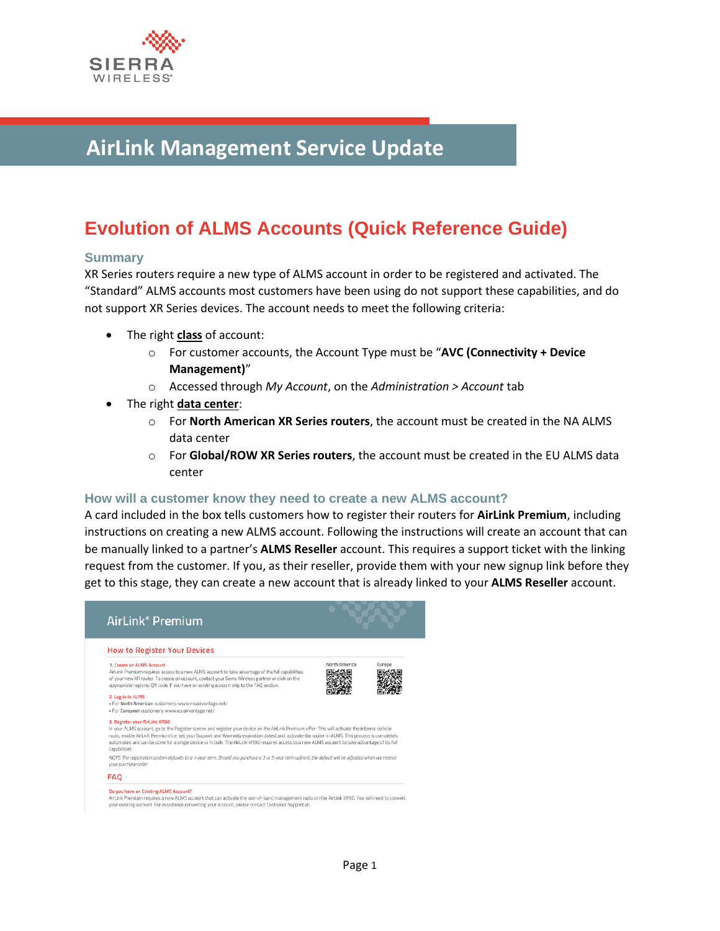

# **AirLink Management Service Update**

## **Evolution of ALMS Accounts (Quick Reference Guide)**

#### **Summary**

XR Series routers require a new type of ALMS account in order to be registered and activated. The "Standard" ALMS accounts most customers have been using do not support these capabilities, and do not support XR Series devices. The account needs to meet the following criteria:

- The right **class** of account:
	- o For customer accounts, the Account Type must be "**AVC (Connectivity + Device Management)**"
	- o Accessed through *My Account*, on the *Administration > Account* tab
- The right **data center**:
	- o For **North American XR Series routers**, the account must be created in the NA ALMS data center
	- o For **Global/ROW XR Series routers**, the account must be created in the EU ALMS data center

#### **How will a customer know they need to create a new ALMS account?**

A card included in the box tells customers how to register their routers for **AirLink Premium**, including instructions on creating a new ALMS account. Following the instructions will create an account that can be manually linked to a partner's **ALMS Reseller** account. This requires a support ticket with the linking request from the customer. If you, as their reseller, provide them with your new signup link before they get to this stage, they can create a new account that is already linked to your **ALMS Reseller** account.

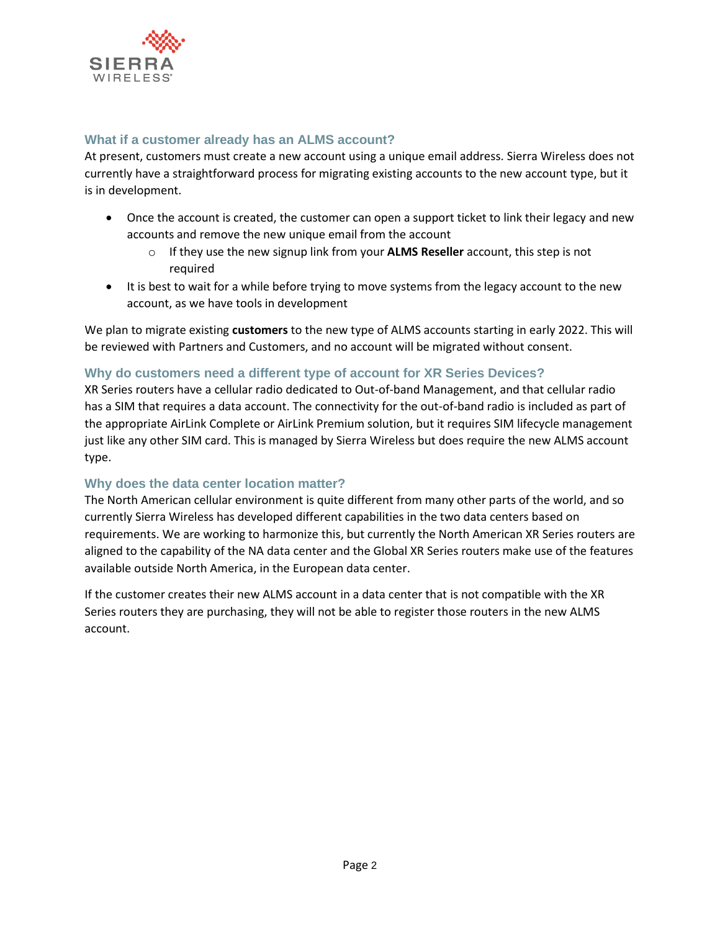

## **What if a customer already has an ALMS account?**

At present, customers must create a new account using a unique email address. Sierra Wireless does not currently have a straightforward process for migrating existing accounts to the new account type, but it is in development.

- Once the account is created, the customer can open a support ticket to link their legacy and new accounts and remove the new unique email from the account
	- o If they use the new signup link from your **ALMS Reseller** account, this step is not required
- It is best to wait for a while before trying to move systems from the legacy account to the new account, as we have tools in development

We plan to migrate existing **customers** to the new type of ALMS accounts starting in early 2022. This will be reviewed with Partners and Customers, and no account will be migrated without consent.

### **Why do customers need a different type of account for XR Series Devices?**

XR Series routers have a cellular radio dedicated to Out-of-band Management, and that cellular radio has a SIM that requires a data account. The connectivity for the out-of-band radio is included as part of the appropriate AirLink Complete or AirLink Premium solution, but it requires SIM lifecycle management just like any other SIM card. This is managed by Sierra Wireless but does require the new ALMS account type.

## **Why does the data center location matter?**

The North American cellular environment is quite different from many other parts of the world, and so currently Sierra Wireless has developed different capabilities in the two data centers based on requirements. We are working to harmonize this, but currently the North American XR Series routers are aligned to the capability of the NA data center and the Global XR Series routers make use of the features available outside North America, in the European data center.

If the customer creates their new ALMS account in a data center that is not compatible with the XR Series routers they are purchasing, they will not be able to register those routers in the new ALMS account.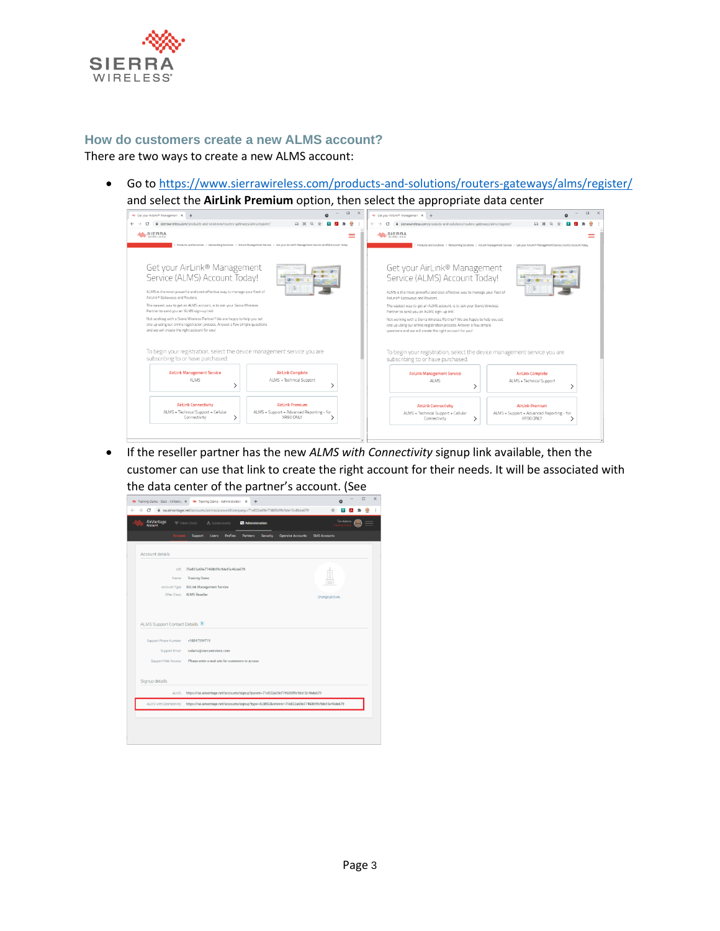

## **How do customers create a new ALMS account?**

There are two ways to create a new ALMS account:

• Go to<https://www.sierrawireless.com/products-and-solutions/routers-gateways/alms/register/>



• If the reseller partner has the new *ALMS with Connectivity* signup link available, then the customer can use that link to create the right account for their needs. It will be associated with the data center of the partner's account. (See

| AirVantage<br>Account        | <b>W</b> Token Stock<br>A Subaccounts<br><b>CB</b> Administration                              | Tim Adems           |  |
|------------------------------|------------------------------------------------------------------------------------------------|---------------------|--|
| Account                      | Profiles<br><b>Operator Accounts</b><br><b>Support</b><br>Users<br>Partners<br><b>Security</b> | <b>SMS Accounts</b> |  |
| Account details              |                                                                                                |                     |  |
|                              |                                                                                                |                     |  |
| UID<br>Name                  | 71e832a69e77460b99c9de15c46da679<br><b>Training Demo</b>                                       |                     |  |
| Account Type                 | AirLink Management Service                                                                     |                     |  |
| Offer Class                  | <b>ALMS Reseller</b>                                                                           | Change picture.     |  |
|                              |                                                                                                |                     |  |
| ALMS Support Contact Details |                                                                                                |                     |  |
| Support Phone Number         | +16047194719                                                                                   |                     |  |
| Support Email                | tadams@sierrawireless.com                                                                      |                     |  |
| Support Web Access           | Please enter a web site for customers to access                                                |                     |  |
|                              |                                                                                                |                     |  |
| Signup details               |                                                                                                |                     |  |
| <b>ALMS</b>                  | https://na.airvantage.net/accounts/signup?parent=71e832a69e77460b99c9de15c46da679              |                     |  |
| ALMS with Connectivity       | https://na.airvantage.net/accounts/signup?type=ALMSC&referrer=71e832a69e77460b99c9de15c46da679 |                     |  |
|                              |                                                                                                |                     |  |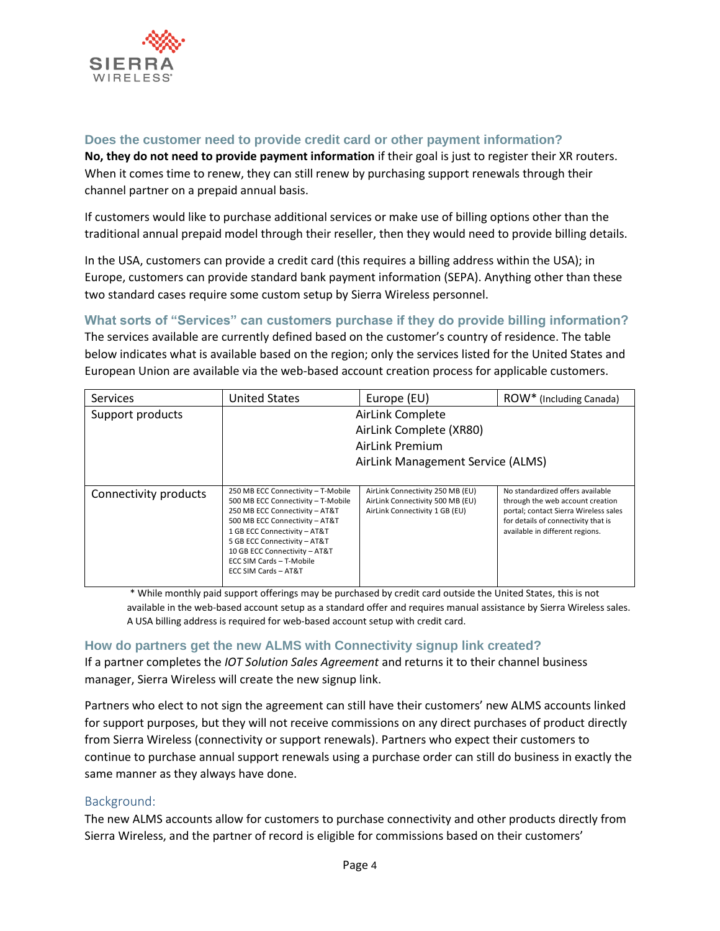

### **Does the customer need to provide credit card or other payment information?**

**No, they do not need to provide payment information** if their goal is just to register their XR routers. When it comes time to renew, they can still renew by purchasing support renewals through their channel partner on a prepaid annual basis.

If customers would like to purchase additional services or make use of billing options other than the traditional annual prepaid model through their reseller, then they would need to provide billing details.

In the USA, customers can provide a credit card (this requires a billing address within the USA); in Europe, customers can provide standard bank payment information (SEPA). Anything other than these two standard cases require some custom setup by Sierra Wireless personnel.

## **What sorts of "Services" can customers purchase if they do provide billing information?**

The services available are currently defined based on the customer's country of residence. The table below indicates what is available based on the region; only the services listed for the United States and European Union are available via the web-based account creation process for applicable customers.

| <b>Services</b>       | <b>United States</b>                                                                                                                                                                                                                                                                              | Europe (EU)                                                                                            | ROW* (Including Canada)                                                                                                                                                                 |
|-----------------------|---------------------------------------------------------------------------------------------------------------------------------------------------------------------------------------------------------------------------------------------------------------------------------------------------|--------------------------------------------------------------------------------------------------------|-----------------------------------------------------------------------------------------------------------------------------------------------------------------------------------------|
| Support products      | AirLink Complete<br>AirLink Complete (XR80)<br>AirLink Premium<br>AirLink Management Service (ALMS)                                                                                                                                                                                               |                                                                                                        |                                                                                                                                                                                         |
| Connectivity products | 250 MB ECC Connectivity - T-Mobile<br>500 MB ECC Connectivity - T-Mobile<br>250 MB ECC Connectivity - AT&T<br>500 MB ECC Connectivity - AT&T<br>1 GB ECC Connectivity - AT&T<br>5 GB ECC Connectivity - AT&T<br>10 GB ECC Connectivity - AT&T<br>ECC SIM Cards - T-Mobile<br>ECC SIM Cards - AT&T | AirLink Connectivity 250 MB (EU)<br>AirLink Connectivity 500 MB (EU)<br>AirLink Connectivity 1 GB (EU) | No standardized offers available<br>through the web account creation<br>portal; contact Sierra Wireless sales<br>for details of connectivity that is<br>available in different regions. |

\* While monthly paid support offerings may be purchased by credit card outside the United States, this is not available in the web-based account setup as a standard offer and requires manual assistance by Sierra Wireless sales. A USA billing address is required for web-based account setup with credit card.

#### **How do partners get the new ALMS with Connectivity signup link created?**

If a partner completes the *IOT Solution Sales Agreement* and returns it to their channel business manager, Sierra Wireless will create the new signup link.

Partners who elect to not sign the agreement can still have their customers' new ALMS accounts linked for support purposes, but they will not receive commissions on any direct purchases of product directly from Sierra Wireless (connectivity or support renewals). Partners who expect their customers to continue to purchase annual support renewals using a purchase order can still do business in exactly the same manner as they always have done.

#### Background:

The new ALMS accounts allow for customers to purchase connectivity and other products directly from Sierra Wireless, and the partner of record is eligible for commissions based on their customers'